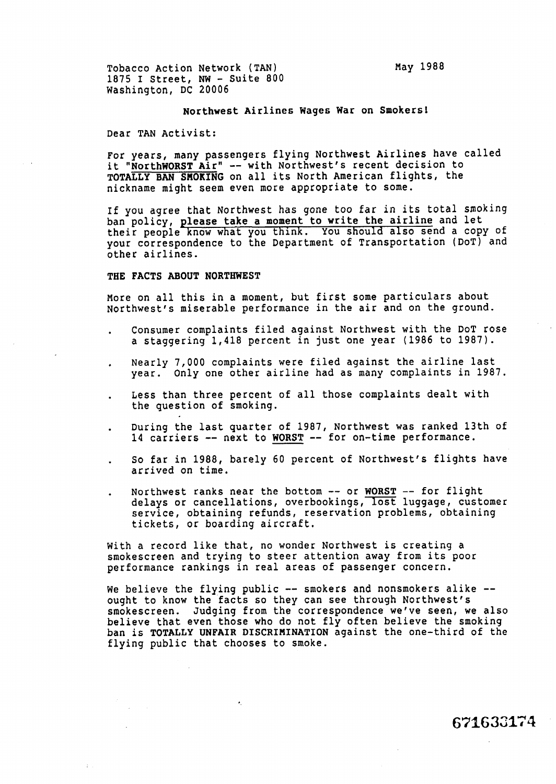Tobacco Action Network (TAN) 1875 I Street, **NW** - Suite 800 Washington, DC 20006

## Northwest Airlines Wages War on Smokers!

Dear TAN Activist:

For years, many passengers flying Northwest Airlines have called it "NorthWORST Air" -- with Northwest's recent decision to TOTALLY BAN SMOKING on all its North American flights, the nickname might seem even more appropriate to some.

If you agree that Northwest has gone too far in its total smoking ban policy, please take a moment to write the airline and let their people know what you think. You should also send a copy of your correspondence to the Department of Transportation (DOT) and other airlines.

## THE FACTS ABOUT NORTHWEST

More on all this in a moment, but first some particulars about Northwest's miserable performance in the air and on the ground.

- . Consumer complaints filed against Northwest with the DOT rose a staggering 1,418 percent in just one year (1986 to 1987).
- . Nearly 7,000 complaints were filed against the airline last year. Only one other airline had as many complaints in 1987.
- . Less than three percent of all those complaints dealt with the question of smoking.
- . During the last quarter of 1987, Northwest was ranked 13th of 14 carriers -- next to WORST -- for on-time performance.
- . So far in 1988, barely 60 percent of Northwest's flights have arrived on time.
- Northwest ranks near the bottom -- or WORST -- for flight delays or cancellations, overbookings, lost luggage, customer service, obtaining refunds, reservation problems, obtaining tickets, or boarding aircraft.

with a record like that, no wonder Northwest is creating a smokescreen and trying to steer attention away from its poor performance rankings in real areas of passenger concern.

 $\epsilon_{\rm c}$ 

We believe the flying public -- smokers and nonsmokers alike -ought to know the facts so they can see through Northwest's smokescreen. Judging from the correspondence we've seen, we also believe that even those who do not fly often believe the smoking ban is TOTALLY UNFAIR DISCRIHINATION against the one-third of the flying public that chooses to smoke.